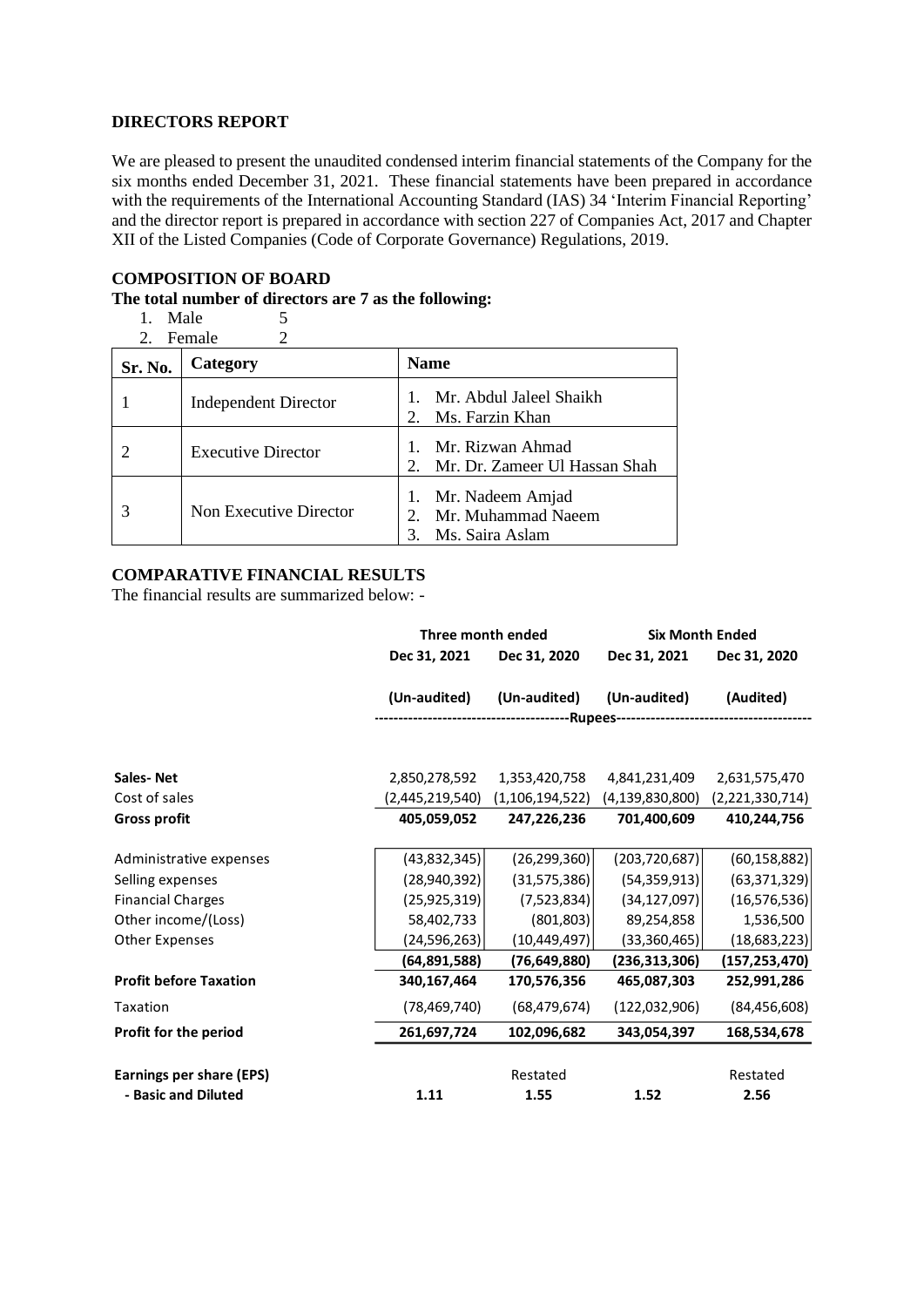### **DIRECTORS REPORT**

We are pleased to present the unaudited condensed interim financial statements of the Company for the six months ended December 31, 2021. These financial statements have been prepared in accordance with the requirements of the International Accounting Standard (IAS) 34 'Interim Financial Reporting' and the director report is prepared in accordance with section 227 of Companies Act, 2017 and Chapter XII of the Listed Companies (Code of Corporate Governance) Regulations, 2019.

# **COMPOSITION OF BOARD**

# **The total number of directors are 7 as the following:**

1. Male  $\begin{array}{c} 5 \\ 2 \end{array}$  Female  $\begin{array}{c} 5 \\ 2 \end{array}$ 

| Female |  |
|--------|--|
|        |  |

| Sr. No. | Category                    | <b>Name</b>                                                                      |
|---------|-----------------------------|----------------------------------------------------------------------------------|
|         | <b>Independent Director</b> | Mr. Abdul Jaleel Shaikh<br>Ms. Farzin Khan<br>$\mathcal{D}_{\mathcal{L}}$        |
|         | <b>Executive Director</b>   | Mr. Rizwan Ahmad<br>Mr. Dr. Zameer Ul Hassan Shah<br>$\mathcal{D}_{\mathcal{L}}$ |
|         | Non Executive Director      | Mr. Nadeem Amjad<br>Mr. Muhammad Naeem<br>$\mathcal{D}$<br>Ms. Saira Aslam       |

# **COMPARATIVE FINANCIAL RESULTS**

The financial results are summarized below: -

|                                 |                 | Three month ended  |                    | <b>Six Month Ended</b> |
|---------------------------------|-----------------|--------------------|--------------------|------------------------|
|                                 | Dec 31, 2021    | Dec 31, 2020       | Dec 31, 2021       | Dec 31, 2020           |
|                                 | (Un-audited)    | (Un-audited)       | (Un-audited)       | (Audited)              |
|                                 |                 |                    |                    |                        |
| <b>Sales-Net</b>                | 2,850,278,592   | 1,353,420,758      | 4,841,231,409      | 2,631,575,470          |
| Cost of sales                   | (2,445,219,540) | (1, 106, 194, 522) | (4, 139, 830, 800) | (2,221,330,714)        |
| <b>Gross profit</b>             | 405,059,052     | 247,226,236        | 701,400,609        | 410,244,756            |
| Administrative expenses         | (43, 832, 345)  | (26, 299, 360)     | (203, 720, 687)    | (60, 158, 882)         |
| Selling expenses                | (28,940,392)    | (31, 575, 386)     | (54, 359, 913)     | (63, 371, 329)         |
| <b>Financial Charges</b>        | (25, 925, 319)  | (7,523,834)        | (34, 127, 097)     | (16, 576, 536)         |
| Other income/(Loss)             | 58,402,733      | (801, 803)         | 89,254,858         | 1,536,500              |
| <b>Other Expenses</b>           | (24,596,263)    | (10, 449, 497)     | (33,360,465)       | (18,683,223)           |
|                                 | (64,891,588)    | (76, 649, 880)     | (236,313,306)      | (157, 253, 470)        |
| <b>Profit before Taxation</b>   | 340,167,464     | 170,576,356        | 465,087,303        | 252,991,286            |
| Taxation                        | (78, 469, 740)  | (68, 479, 674)     | (122,032,906)      | (84, 456, 608)         |
| Profit for the period           | 261,697,724     | 102,096,682        | 343,054,397        | 168,534,678            |
| <b>Earnings per share (EPS)</b> |                 | Restated           |                    | Restated               |
| - Basic and Diluted             | 1.11            | 1.55               | 1.52               | 2.56                   |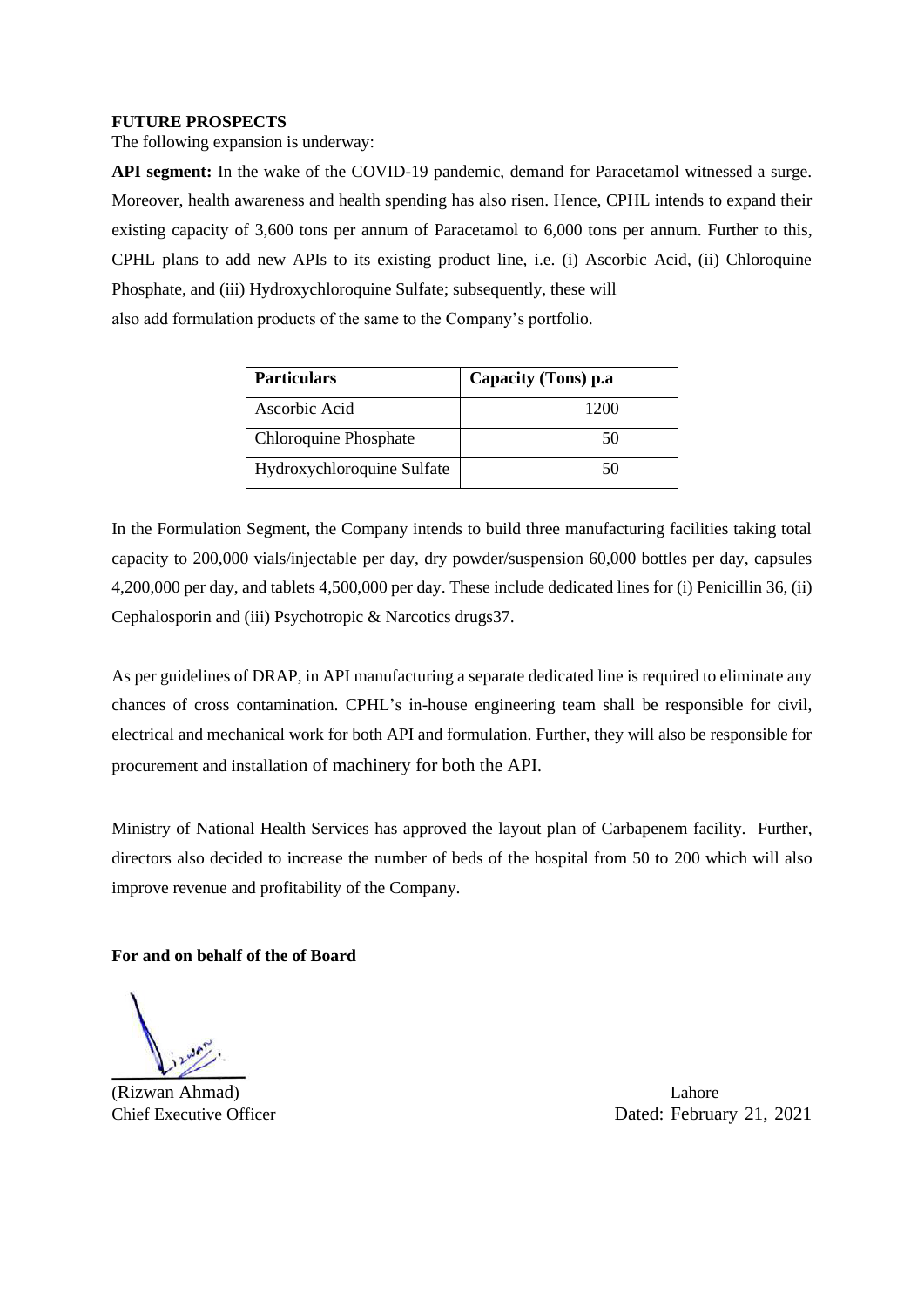## **FUTURE PROSPECTS**

The following expansion is underway:

**API segment:** In the wake of the COVID-19 pandemic, demand for Paracetamol witnessed a surge. Moreover, health awareness and health spending has also risen. Hence, CPHL intends to expand their existing capacity of 3,600 tons per annum of Paracetamol to 6,000 tons per annum. Further to this, CPHL plans to add new APIs to its existing product line, i.e. (i) Ascorbic Acid, (ii) Chloroquine Phosphate, and (iii) Hydroxychloroquine Sulfate; subsequently, these will also add formulation products of the same to the Company's portfolio.

| <b>Particulars</b>         | Capacity (Tons) p.a |
|----------------------------|---------------------|
| Ascorbic Acid              | 1200                |
| Chloroquine Phosphate      | 50                  |
| Hydroxychloroquine Sulfate | 50                  |

In the Formulation Segment, the Company intends to build three manufacturing facilities taking total capacity to 200,000 vials/injectable per day, dry powder/suspension 60,000 bottles per day, capsules 4,200,000 per day, and tablets 4,500,000 per day. These include dedicated lines for (i) Penicillin 36, (ii) Cephalosporin and (iii) Psychotropic & Narcotics drugs37.

As per guidelines of DRAP, in API manufacturing a separate dedicated line is required to eliminate any chances of cross contamination. CPHL's in-house engineering team shall be responsible for civil, electrical and mechanical work for both API and formulation. Further, they will also be responsible for procurement and installation of machinery for both the API.

Ministry of National Health Services has approved the layout plan of Carbapenem facility. Further, directors also decided to increase the number of beds of the hospital from 50 to 200 which will also improve revenue and profitability of the Company.

**For and on behalf of the of Board**

(Rizwan Ahmad) Lahore

Chief Executive Officer Dated: February 21, 2021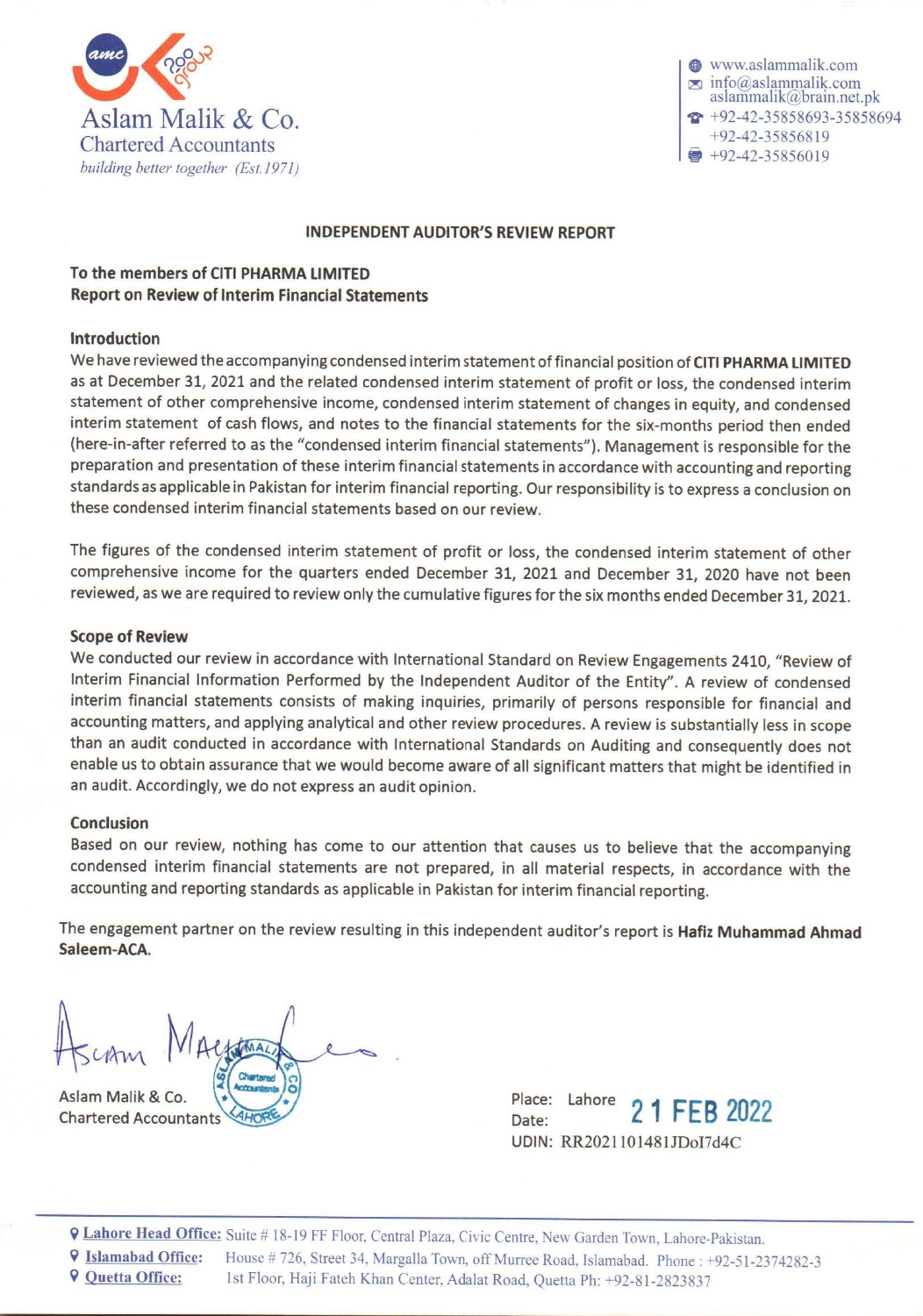

www.aslammalik.com  $\infty$  info@aslammalik.com aslammalik@brain.net.pk  $\widehat{P}$  +92-42-35858693-35858694  $+92 - 42 - 35856819$ +92-42-35856019

# **INDEPENDENT AUDITOR'S REVIEW REPORT**

# To the members of CITI PHARMA LIMITED **Report on Review of Interim Financial Statements**

# Introduction

We have reviewed the accompanying condensed interim statement of financial position of CITI PHARMA LIMITED as at December 31, 2021 and the related condensed interim statement of profit or loss, the condensed interim statement of other comprehensive income, condensed interim statement of changes in equity, and condensed interim statement of cash flows, and notes to the financial statements for the six-months period then ended (here-in-after referred to as the "condensed interim financial statements"). Management is responsible for the preparation and presentation of these interim financial statements in accordance with accounting and reporting standards as applicable in Pakistan for interim financial reporting. Our responsibility is to express a conclusion on these condensed interim financial statements based on our review.

The figures of the condensed interim statement of profit or loss, the condensed interim statement of other comprehensive income for the quarters ended December 31, 2021 and December 31, 2020 have not been reviewed, as we are required to review only the cumulative figures for the six months ended December 31, 2021.

## **Scope of Review**

We conducted our review in accordance with International Standard on Review Engagements 2410, "Review of Interim Financial Information Performed by the Independent Auditor of the Entity". A review of condensed interim financial statements consists of making inquiries, primarily of persons responsible for financial and accounting matters, and applying analytical and other review procedures. A review is substantially less in scope than an audit conducted in accordance with International Standards on Auditing and consequently does not enable us to obtain assurance that we would become aware of all significant matters that might be identified in an audit. Accordingly, we do not express an audit opinion.

### **Conclusion**

Based on our review, nothing has come to our attention that causes us to believe that the accompanying condensed interim financial statements are not prepared, in all material respects, in accordance with the accounting and reporting standards as applicable in Pakistan for interim financial reporting.

The engagement partner on the review resulting in this independent auditor's report is Hafiz Muhammad Ahmad Saleem-ACA.

Aslam Malik & Co. **Chartered Accountants** 

Place: Lahore 1 FEB 2022 Date: UDIN: RR2021101481JDoI7d4C

**Q Lahore Head Office:** Suite #18-19 FF Floor, Central Plaza, Civic Centre, New Garden Town, Lahore-Pakistan.

**9 Islamabad Office:** House #726, Street 34, Margalla Town, off Murree Road, Islamabad. Phone: +92-51-2374282-3

**9 Quetta Office:** 1st Floor, Haji Fateh Khan Center, Adalat Road, Quetta Ph: +92-81-2823837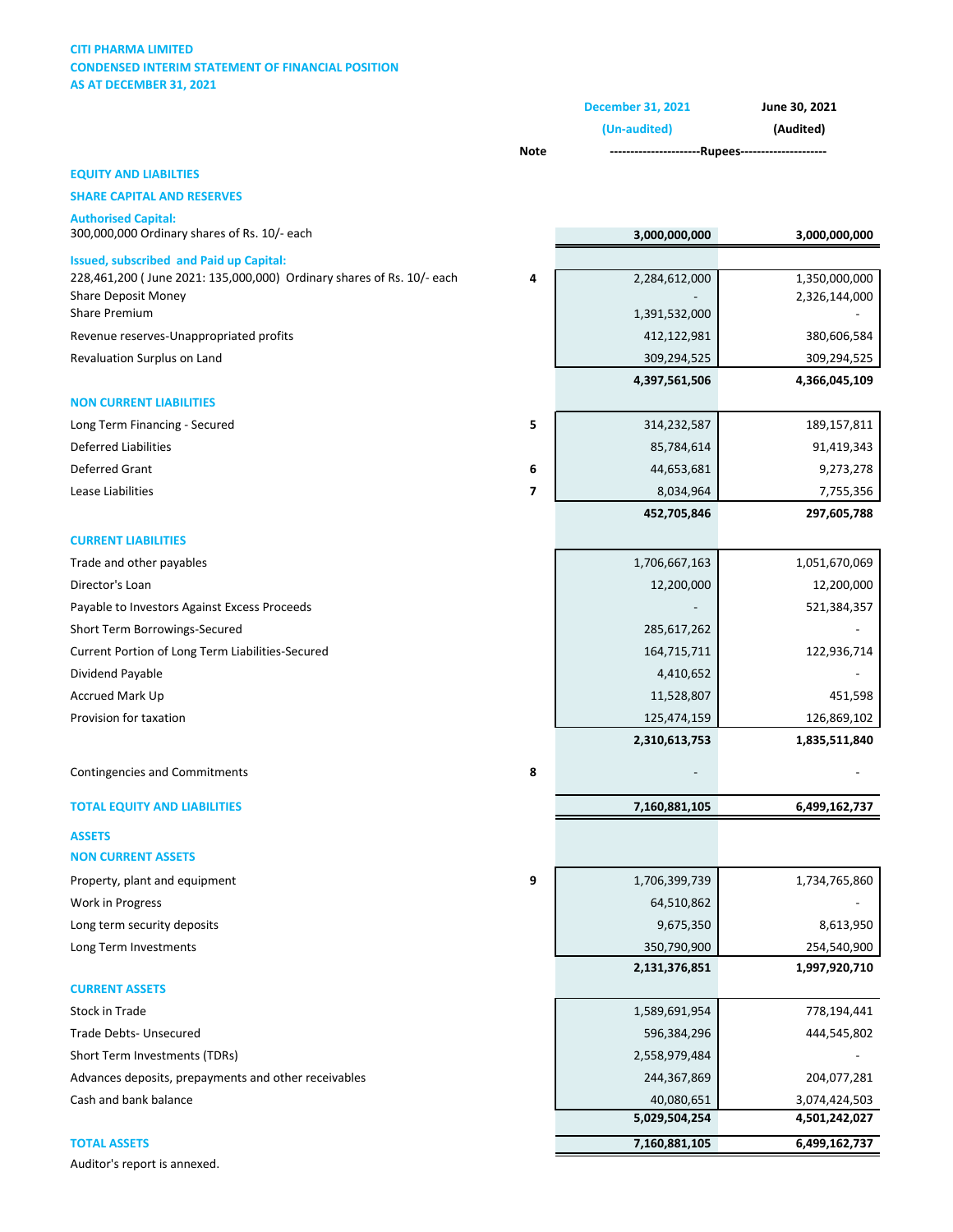### **CITI PHARMA LIMITED CONDENSED INTERIM STATEMENT OF FINANCIAL POSITION AS AT DECEMBER 31, 2021**

|                                                                            |                          | <b>December 31, 2021</b>                         | June 30, 2021<br>(Audited) |  |
|----------------------------------------------------------------------------|--------------------------|--------------------------------------------------|----------------------------|--|
|                                                                            |                          | (Un-audited)                                     |                            |  |
|                                                                            | <b>Note</b>              | ----------------------Rupees-------------------- |                            |  |
| <b>EQUITY AND LIABILTIES</b>                                               |                          |                                                  |                            |  |
| <b>SHARE CAPITAL AND RESERVES</b>                                          |                          |                                                  |                            |  |
| <b>Authorised Capital:</b><br>300,000,000 Ordinary shares of Rs. 10/- each |                          | 3,000,000,000                                    | 3,000,000,000              |  |
| <b>Issued, subscribed and Paid up Capital:</b>                             |                          |                                                  |                            |  |
| 228,461,200 (June 2021: 135,000,000) Ordinary shares of Rs. 10/- each      | 4                        | 2,284,612,000                                    | 1,350,000,000              |  |
| <b>Share Deposit Money</b><br>Share Premium                                |                          | 1,391,532,000                                    | 2,326,144,000              |  |
| Revenue reserves-Unappropriated profits                                    |                          | 412,122,981                                      | 380,606,584                |  |
| Revaluation Surplus on Land                                                |                          | 309,294,525                                      | 309,294,525                |  |
|                                                                            |                          | 4,397,561,506                                    | 4,366,045,109              |  |
| <b>NON CURRENT LIABILITIES</b>                                             |                          |                                                  |                            |  |
| Long Term Financing - Secured                                              | 5                        | 314,232,587                                      | 189,157,811                |  |
| <b>Deferred Liabilities</b>                                                |                          | 85,784,614                                       | 91,419,343                 |  |
| Deferred Grant                                                             | 6                        | 44,653,681                                       | 9,273,278                  |  |
| Lease Liabilities                                                          | $\overline{\phantom{a}}$ | 8,034,964                                        | 7,755,356                  |  |
|                                                                            |                          | 452,705,846                                      | 297,605,788                |  |
| <b>CURRENT LIABILITIES</b>                                                 |                          |                                                  |                            |  |
| Trade and other payables                                                   |                          | 1,706,667,163                                    | 1,051,670,069              |  |
| Director's Loan                                                            |                          | 12,200,000                                       | 12,200,000                 |  |
| Payable to Investors Against Excess Proceeds                               |                          |                                                  | 521,384,357                |  |
| Short Term Borrowings-Secured                                              |                          | 285,617,262                                      |                            |  |
| Current Portion of Long Term Liabilities-Secured                           |                          | 164,715,711                                      | 122,936,714                |  |
| Dividend Payable                                                           |                          | 4,410,652                                        |                            |  |
| Accrued Mark Up                                                            |                          | 11,528,807                                       | 451,598                    |  |
| Provision for taxation                                                     |                          | 125,474,159                                      | 126,869,102                |  |
|                                                                            |                          | 2,310,613,753                                    | 1,835,511,840              |  |
|                                                                            |                          |                                                  |                            |  |
| Contingencies and Commitments                                              | 8                        |                                                  |                            |  |
| <b>TOTAL EQUITY AND LIABILITIES</b>                                        |                          | 7,160,881,105                                    | 6,499,162,737              |  |
| <b>ASSETS</b>                                                              |                          |                                                  |                            |  |
| <b>NON CURRENT ASSETS</b>                                                  |                          |                                                  |                            |  |
| Property, plant and equipment                                              | 9                        | 1,706,399,739                                    | 1,734,765,860              |  |
| Work in Progress                                                           |                          | 64,510,862                                       |                            |  |
| Long term security deposits                                                |                          | 9,675,350                                        | 8,613,950                  |  |
| Long Term Investments                                                      |                          | 350,790,900                                      | 254,540,900                |  |
|                                                                            |                          | 2,131,376,851                                    | 1,997,920,710              |  |
| <b>CURRENT ASSETS</b>                                                      |                          |                                                  |                            |  |
| Stock in Trade                                                             |                          | 1,589,691,954                                    | 778,194,441                |  |
| Trade Debts- Unsecured                                                     |                          | 596,384,296                                      | 444,545,802                |  |
| Short Term Investments (TDRs)                                              |                          | 2,558,979,484                                    |                            |  |
| Advances deposits, prepayments and other receivables                       |                          | 244,367,869                                      | 204,077,281                |  |
| Cash and bank balance                                                      |                          | 40,080,651                                       | 3,074,424,503              |  |
|                                                                            |                          | 5,029,504,254                                    | 4,501,242,027              |  |
| <b>TOTAL ASSETS</b>                                                        |                          | 7,160,881,105                                    | 6,499,162,737              |  |

Auditor's report is annexed.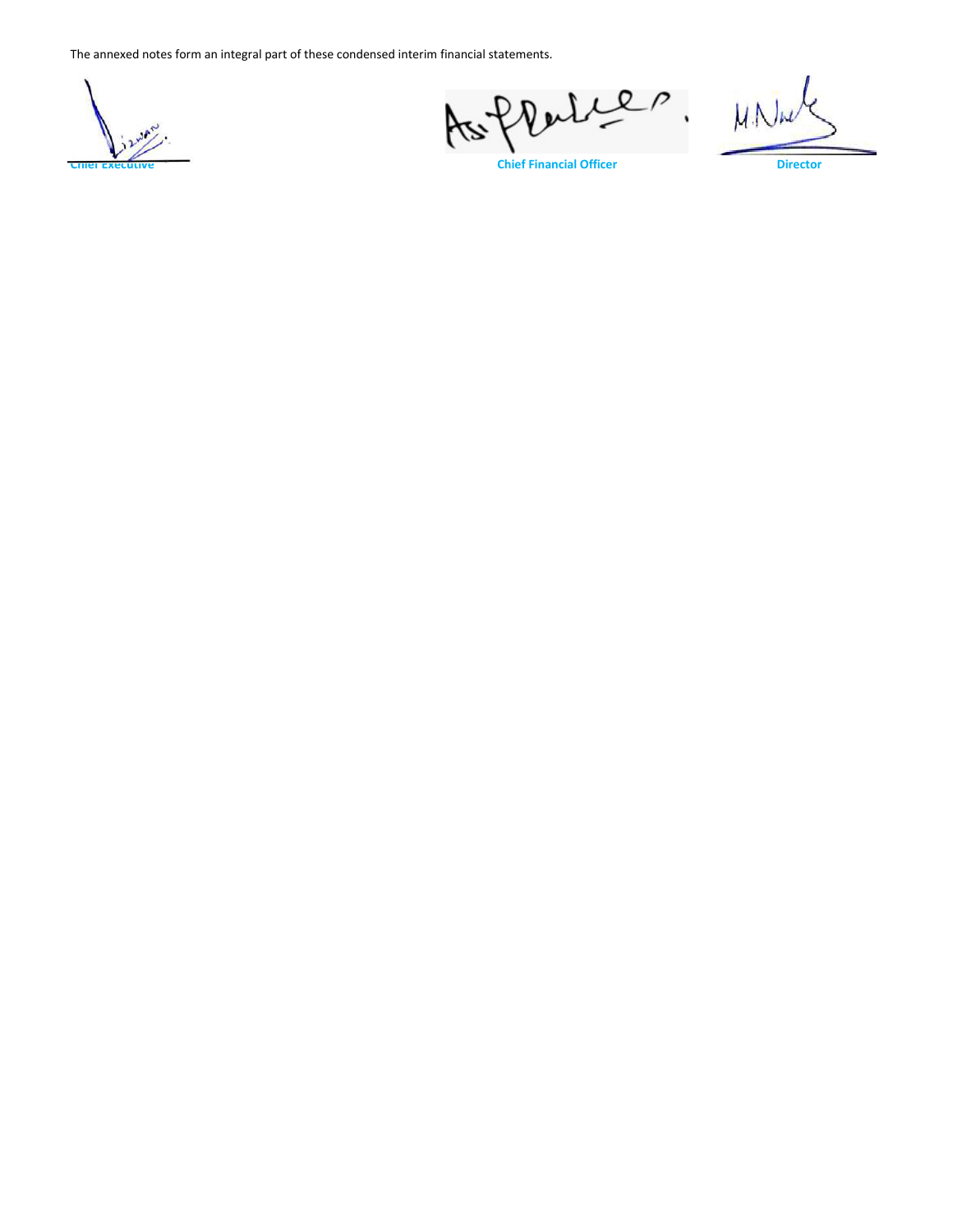

Rables. Yez,

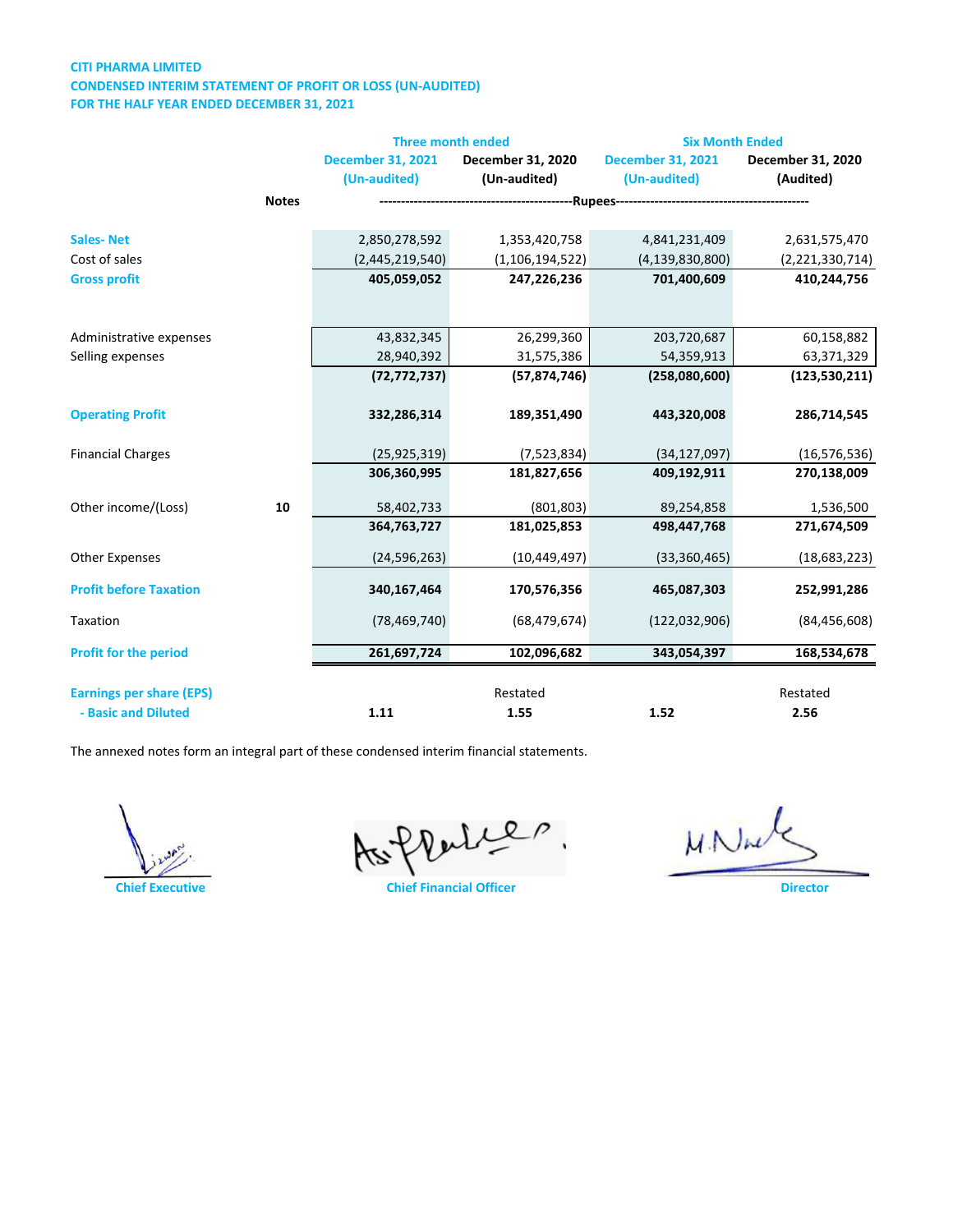### **CITI PHARMA LIMITED CONDENSED INTERIM STATEMENT OF PROFIT OR LOSS (UN-AUDITED) FOR THE HALF YEAR ENDED DECEMBER 31, 2021**

|                                 |              | <b>Three month ended</b> |                    | <b>Six Month Ended</b>   |                   |
|---------------------------------|--------------|--------------------------|--------------------|--------------------------|-------------------|
|                                 |              | <b>December 31, 2021</b> | December 31, 2020  | <b>December 31, 2021</b> | December 31, 2020 |
|                                 |              | (Un-audited)             | (Un-audited)       | (Un-audited)             | (Audited)         |
|                                 | <b>Notes</b> |                          |                    |                          |                   |
| <b>Sales-Net</b>                |              | 2,850,278,592            | 1,353,420,758      | 4,841,231,409            | 2,631,575,470     |
| Cost of sales                   |              | (2,445,219,540)          | (1, 106, 194, 522) | (4, 139, 830, 800)       | (2,221,330,714)   |
| <b>Gross profit</b>             |              | 405,059,052              | 247,226,236        | 701,400,609              | 410,244,756       |
|                                 |              |                          |                    |                          |                   |
| Administrative expenses         |              | 43,832,345               | 26,299,360         | 203,720,687              | 60,158,882        |
| Selling expenses                |              | 28,940,392               | 31,575,386         | 54,359,913               | 63,371,329        |
|                                 |              | (72, 772, 737)           | (57, 874, 746)     | (258,080,600)            | (123, 530, 211)   |
| <b>Operating Profit</b>         |              | 332,286,314              | 189,351,490        | 443,320,008              | 286,714,545       |
| <b>Financial Charges</b>        |              | (25, 925, 319)           | (7,523,834)        | (34, 127, 097)           | (16, 576, 536)    |
|                                 |              | 306,360,995              | 181,827,656        | 409,192,911              | 270,138,009       |
| Other income/(Loss)             | 10           | 58,402,733               | (801, 803)         | 89,254,858               | 1,536,500         |
|                                 |              | 364,763,727              | 181,025,853        | 498,447,768              | 271,674,509       |
| <b>Other Expenses</b>           |              | (24, 596, 263)           | (10, 449, 497)     | (33, 360, 465)           | (18,683,223)      |
| <b>Profit before Taxation</b>   |              | 340,167,464              | 170,576,356        | 465,087,303              | 252,991,286       |
| Taxation                        |              | (78, 469, 740)           | (68, 479, 674)     | (122, 032, 906)          | (84, 456, 608)    |
| <b>Profit for the period</b>    |              | 261,697,724              | 102,096,682        | 343,054,397              | 168,534,678       |
| <b>Earnings per share (EPS)</b> |              |                          | Restated           |                          | Restated          |
| - Basic and Diluted             |              | 1.11                     | 1.55               | 1.52                     | 2.56              |

As frances

M. Nule

**Chief Executive Director Chief Financial Officer**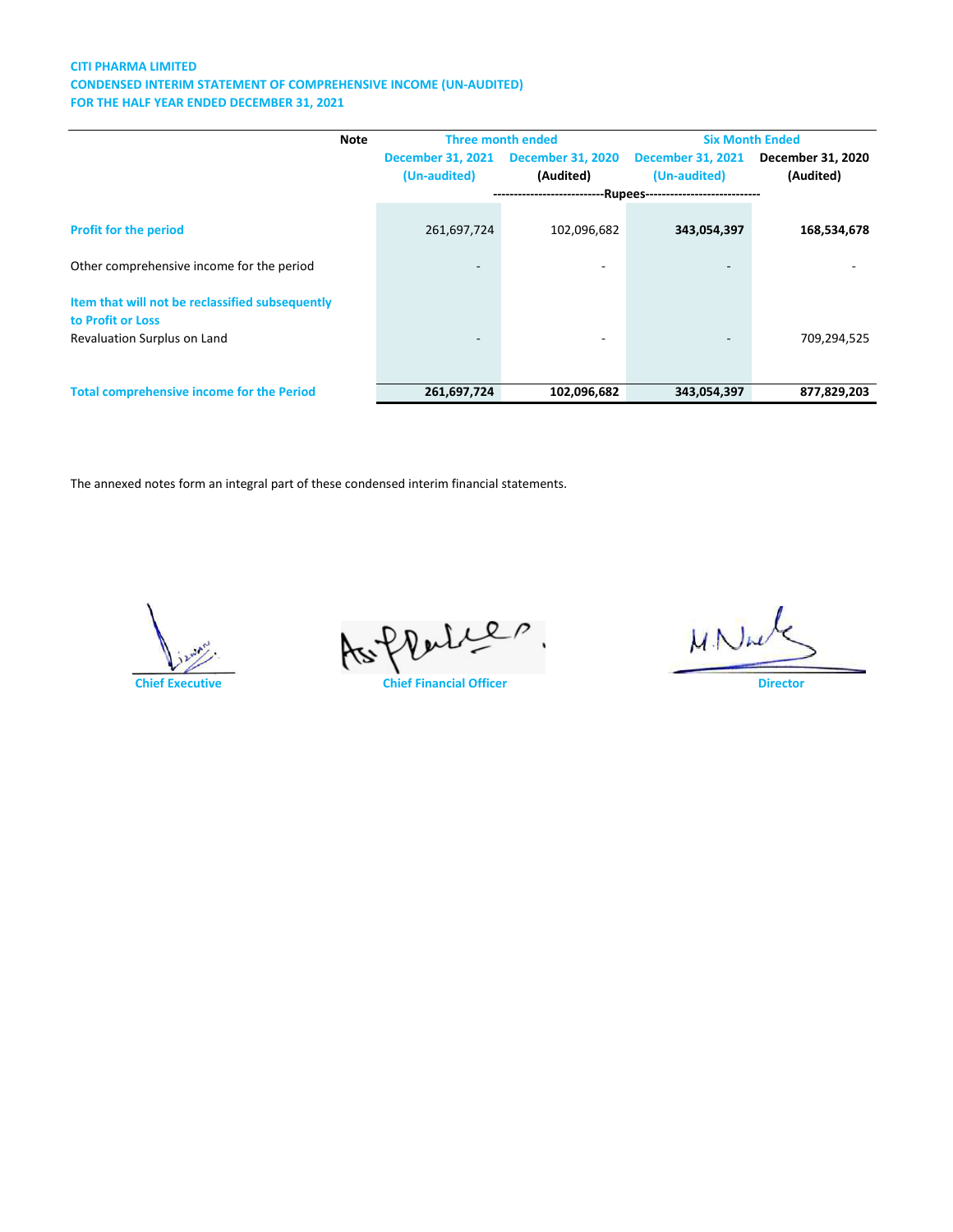### **CITI PHARMA LIMITED CONDENSED INTERIM STATEMENT OF COMPREHENSIVE INCOME (UN-AUDITED) FOR THE HALF YEAR ENDED DECEMBER 31, 2021**

| <b>Note</b>                                      | <b>Three month ended</b> |                                                              |                          | <b>Six Month Ended</b>   |  |
|--------------------------------------------------|--------------------------|--------------------------------------------------------------|--------------------------|--------------------------|--|
|                                                  | <b>December 31, 2021</b> | <b>December 31, 2020</b>                                     | <b>December 31, 2021</b> | <b>December 31, 2020</b> |  |
|                                                  | (Un-audited)             | (Audited)                                                    | (Un-audited)             | (Audited)                |  |
|                                                  |                          | ---------------------------Rupees--------------------------- |                          |                          |  |
|                                                  |                          |                                                              |                          |                          |  |
| <b>Profit for the period</b>                     | 261,697,724              | 102,096,682                                                  | 343,054,397              | 168,534,678              |  |
| Other comprehensive income for the period        | -                        | $\qquad \qquad \blacksquare$                                 | $\overline{\phantom{a}}$ |                          |  |
| Item that will not be reclassified subsequently  |                          |                                                              |                          |                          |  |
| to Profit or Loss                                |                          |                                                              |                          |                          |  |
| Revaluation Surplus on Land                      |                          | ۰                                                            |                          | 709,294,525              |  |
|                                                  |                          |                                                              |                          |                          |  |
| <b>Total comprehensive income for the Period</b> | 261,697,724              | 102,096,682                                                  | 343,054,397              | 877,829,203              |  |



As flates

 $MN\mu$ 

**Chief Executive Chief Financial Officer Director**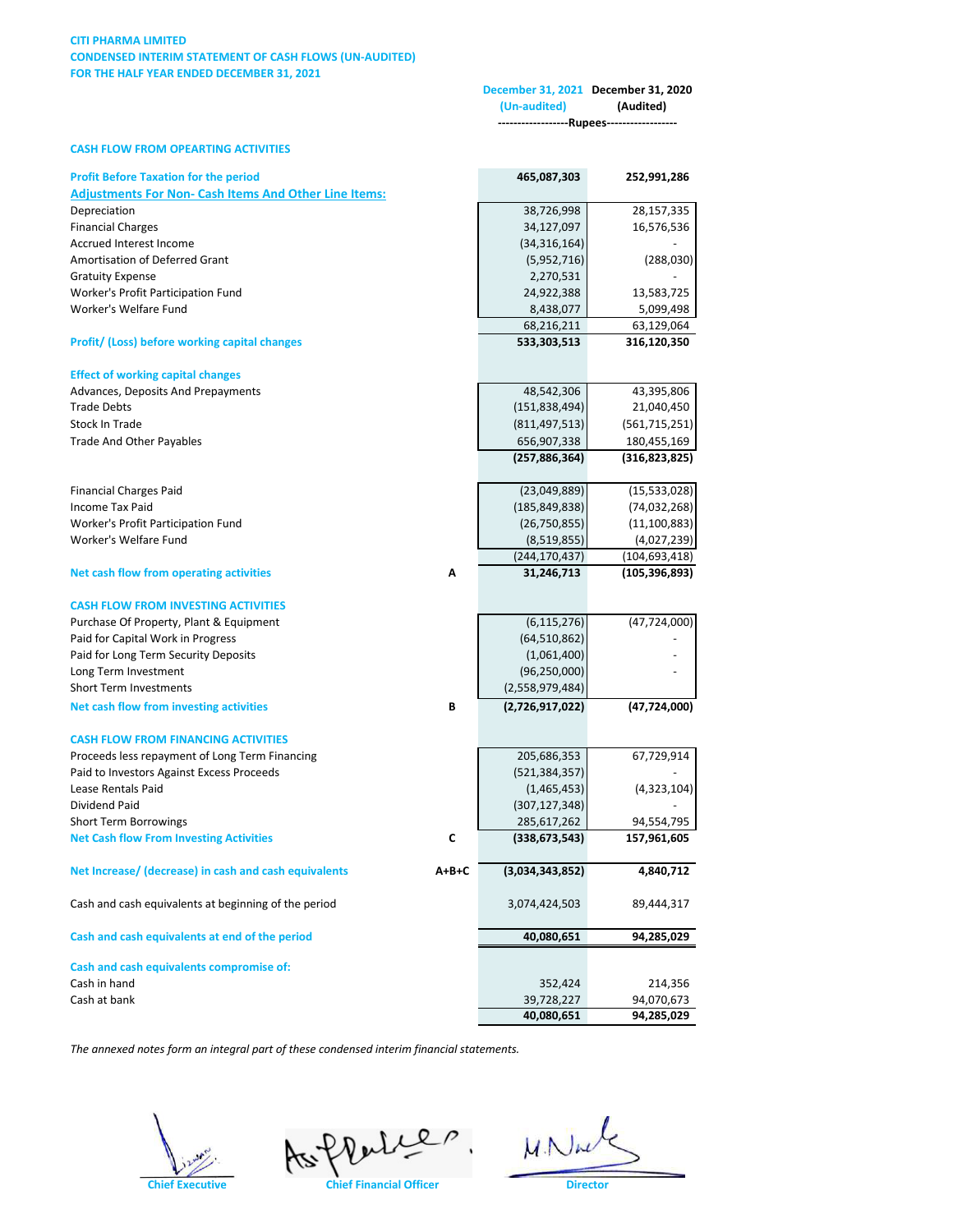### **CITI PHARMA LIMITED CONDENSED INTERIM STATEMENT OF CASH FLOWS (UN-AUDITED) FOR THE HALF YEAR ENDED DECEMBER 31, 2021**

|                                                              |       | (Un-audited)                   | December 31, 2021 December 31, 2020<br>(Audited) |
|--------------------------------------------------------------|-------|--------------------------------|--------------------------------------------------|
|                                                              |       |                                | ---Rupees---                                     |
| <b>CASH FLOW FROM OPEARTING ACTIVITIES</b>                   |       |                                |                                                  |
| <b>Profit Before Taxation for the period</b>                 |       | 465,087,303                    | 252,991,286                                      |
| <b>Adjustments For Non- Cash Items And Other Line Items:</b> |       |                                |                                                  |
| Depreciation                                                 |       | 38,726,998                     | 28,157,335                                       |
| <b>Financial Charges</b>                                     |       | 34,127,097                     | 16,576,536                                       |
| Accrued Interest Income                                      |       | (34, 316, 164)                 |                                                  |
| Amortisation of Deferred Grant                               |       | (5,952,716)                    | (288,030)                                        |
| <b>Gratuity Expense</b>                                      |       | 2,270,531                      |                                                  |
| Worker's Profit Participation Fund                           |       | 24,922,388                     | 13,583,725                                       |
| Worker's Welfare Fund                                        |       | 8,438,077                      | 5,099,498                                        |
|                                                              |       | 68,216,211                     | 63,129,064                                       |
| <b>Profit/ (Loss) before working capital changes</b>         |       | 533,303,513                    | 316,120,350                                      |
| <b>Effect of working capital changes</b>                     |       |                                |                                                  |
| Advances, Deposits And Prepayments                           |       | 48,542,306                     | 43,395,806                                       |
| <b>Trade Debts</b>                                           |       | (151, 838, 494)                | 21,040,450                                       |
| Stock In Trade                                               |       | (811, 497, 513)                | (561, 715, 251)                                  |
| <b>Trade And Other Payables</b>                              |       | 656,907,338                    | 180,455,169                                      |
|                                                              |       | (257, 886, 364)                | (316,823,825)                                    |
|                                                              |       |                                |                                                  |
| <b>Financial Charges Paid</b>                                |       | (23,049,889)                   | (15,533,028)                                     |
| <b>Income Tax Paid</b>                                       |       | (185, 849, 838)                | (74, 032, 268)                                   |
| Worker's Profit Participation Fund                           |       | (26,750,855)                   | (11, 100, 883)                                   |
| Worker's Welfare Fund                                        |       | (8,519,855)<br>(244, 170, 437) | (4,027,239)<br>(104, 693, 418)                   |
| Net cash flow from operating activities                      | Α     | 31,246,713                     | (105,396,893)                                    |
|                                                              |       |                                |                                                  |
| <b>CASH FLOW FROM INVESTING ACTIVITIES</b>                   |       |                                |                                                  |
| Purchase Of Property, Plant & Equipment                      |       | (6, 115, 276)                  | (47, 724, 000)                                   |
| Paid for Capital Work in Progress                            |       | (64, 510, 862)                 |                                                  |
| Paid for Long Term Security Deposits                         |       | (1,061,400)                    |                                                  |
| Long Term Investment                                         |       | (96, 250, 000)                 |                                                  |
| <b>Short Term Investments</b>                                |       | (2,558,979,484)                |                                                  |
| Net cash flow from investing activities                      | В     | (2,726,917,022)                | (47, 724, 000)                                   |
| <b>CASH FLOW FROM FINANCING ACTIVITIES</b>                   |       |                                |                                                  |
| Proceeds less repayment of Long Term Financing               |       | 205,686,353                    | 67,729,914                                       |
| Paid to Investors Against Excess Proceeds                    |       | (521, 384, 357)                |                                                  |
| Lease Rentals Paid                                           |       | (1,465,453)                    | (4,323,104)                                      |
| Dividend Paid                                                |       | (307, 127, 348)                |                                                  |
| <b>Short Term Borrowings</b>                                 |       | 285,617,262                    | 94,554,795                                       |
| <b>Net Cash flow From Investing Activities</b>               | C     | (338, 673, 543)                | 157,961,605                                      |
| Net Increase/ (decrease) in cash and cash equivalents        | A+B+C | (3,034,343,852)                | 4,840,712                                        |
|                                                              |       |                                |                                                  |
| Cash and cash equivalents at beginning of the period         |       | 3,074,424,503                  | 89,444,317                                       |
| Cash and cash equivalents at end of the period               |       | 40,080,651                     | 94,285,029                                       |
| Cash and cash equivalents compromise of:                     |       |                                |                                                  |
| Cash in hand                                                 |       | 352,424                        | 214,356                                          |
| Cash at bank                                                 |       | 39,728,227                     | 94,070,673                                       |
|                                                              |       | 40,080,651                     | 94,285,029                                       |

Chief Executive **Chief Financial Officer W. Nucle** 

 $M.N$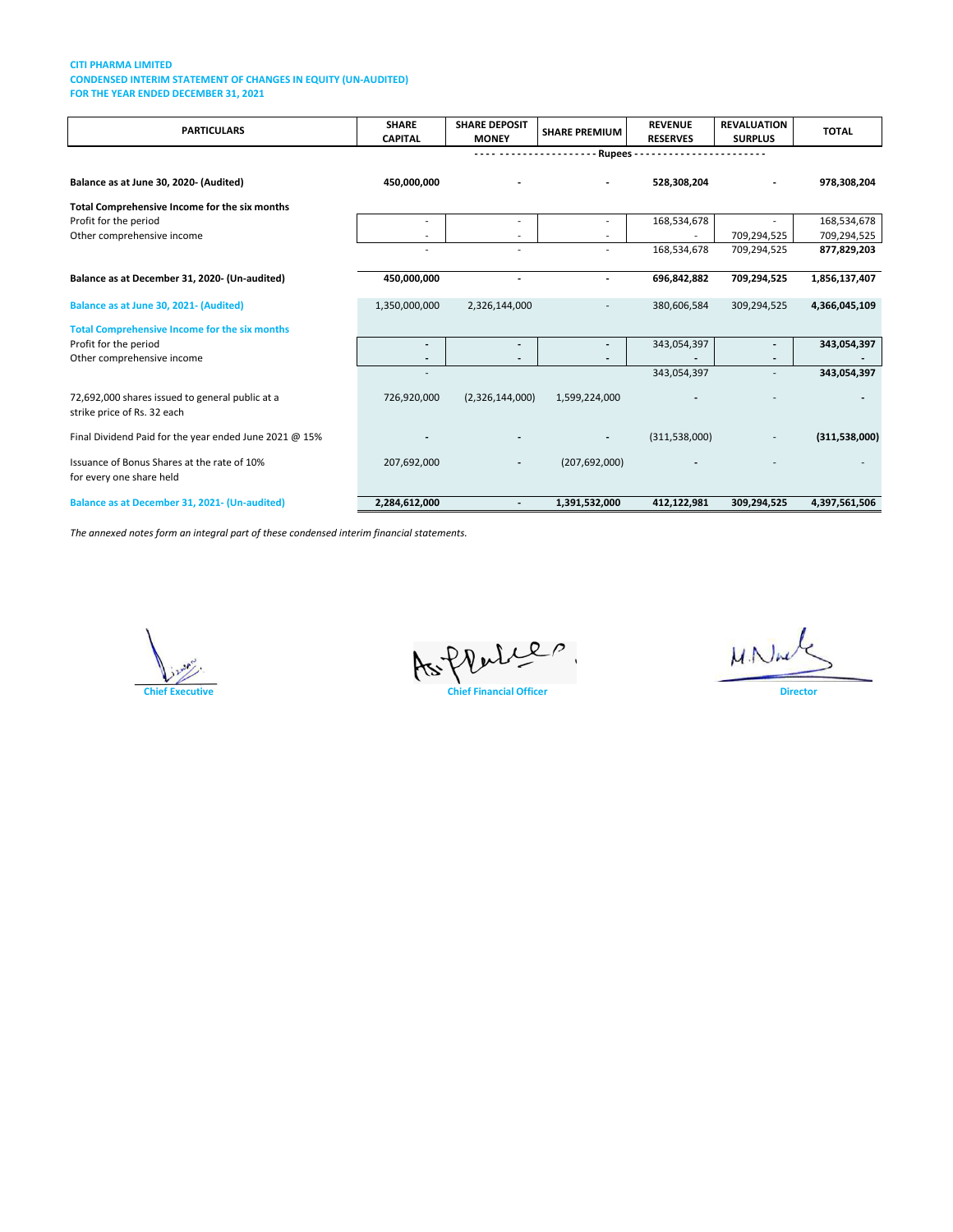#### **CITI PHARMA LIMITED CONDENSED INTERIM STATEMENT OF CHANGES IN EQUITY (UN-AUDITED) FOR THE YEAR ENDED DECEMBER 31, 2021**

| <b>PARTICULARS</b>                                                             | <b>SHARE</b><br><b>CAPITAL</b> | <b>SHARE DEPOSIT</b><br><b>MONEY</b> | <b>SHARE PREMIUM</b>     | <b>REVENUE</b><br><b>RESERVES</b> | <b>REVALUATION</b><br><b>SURPLUS</b> | <b>TOTAL</b>               |
|--------------------------------------------------------------------------------|--------------------------------|--------------------------------------|--------------------------|-----------------------------------|--------------------------------------|----------------------------|
|                                                                                |                                |                                      | <b>Rupees-</b>           |                                   |                                      |                            |
| Balance as at June 30, 2020- (Audited)                                         | 450,000,000                    |                                      |                          | 528,308,204                       |                                      | 978,308,204                |
| Total Comprehensive Income for the six months                                  |                                |                                      |                          |                                   |                                      |                            |
| Profit for the period<br>Other comprehensive income                            |                                | $\overline{\phantom{a}}$             |                          | 168,534,678                       | 709,294,525                          | 168,534,678<br>709,294,525 |
|                                                                                |                                |                                      |                          | 168,534,678                       | 709,294,525                          | 877,829,203                |
| Balance as at December 31, 2020- (Un-audited)                                  | 450,000,000                    |                                      | $\overline{a}$           | 696,842,882                       | 709,294,525                          | 1,856,137,407              |
| Balance as at June 30, 2021- (Audited)                                         | 1,350,000,000                  | 2,326,144,000                        |                          | 380,606,584                       | 309,294,525                          | 4,366,045,109              |
| <b>Total Comprehensive Income for the six months</b>                           |                                |                                      |                          |                                   |                                      |                            |
| Profit for the period                                                          |                                | $\overline{\phantom{a}}$             |                          | 343,054,397                       |                                      | 343,054,397                |
| Other comprehensive income                                                     |                                | $\overline{\phantom{a}}$             |                          |                                   |                                      |                            |
|                                                                                |                                |                                      |                          | 343,054,397                       |                                      | 343,054,397                |
| 72,692,000 shares issued to general public at a<br>strike price of Rs. 32 each | 726,920,000                    | (2,326,144,000)                      | 1,599,224,000            |                                   |                                      |                            |
| Final Dividend Paid for the year ended June 2021 @ 15%                         |                                |                                      | $\overline{\phantom{a}}$ | (311, 538, 000)                   |                                      | (311,538,000)              |
| Issuance of Bonus Shares at the rate of 10%<br>for every one share held        | 207,692,000                    | $\overline{\phantom{a}}$             | (207, 692, 000)          |                                   |                                      |                            |
| Balance as at December 31, 2021- (Un-audited)                                  | 2,284,612,000                  | $\overline{\phantom{a}}$             | 1,391,532,000            | 412,122,981                       | 309,294,525                          | 4,397,561,506              |



Chief Executive **Chief Financial Officer** 

 $MNU$ 

**Director**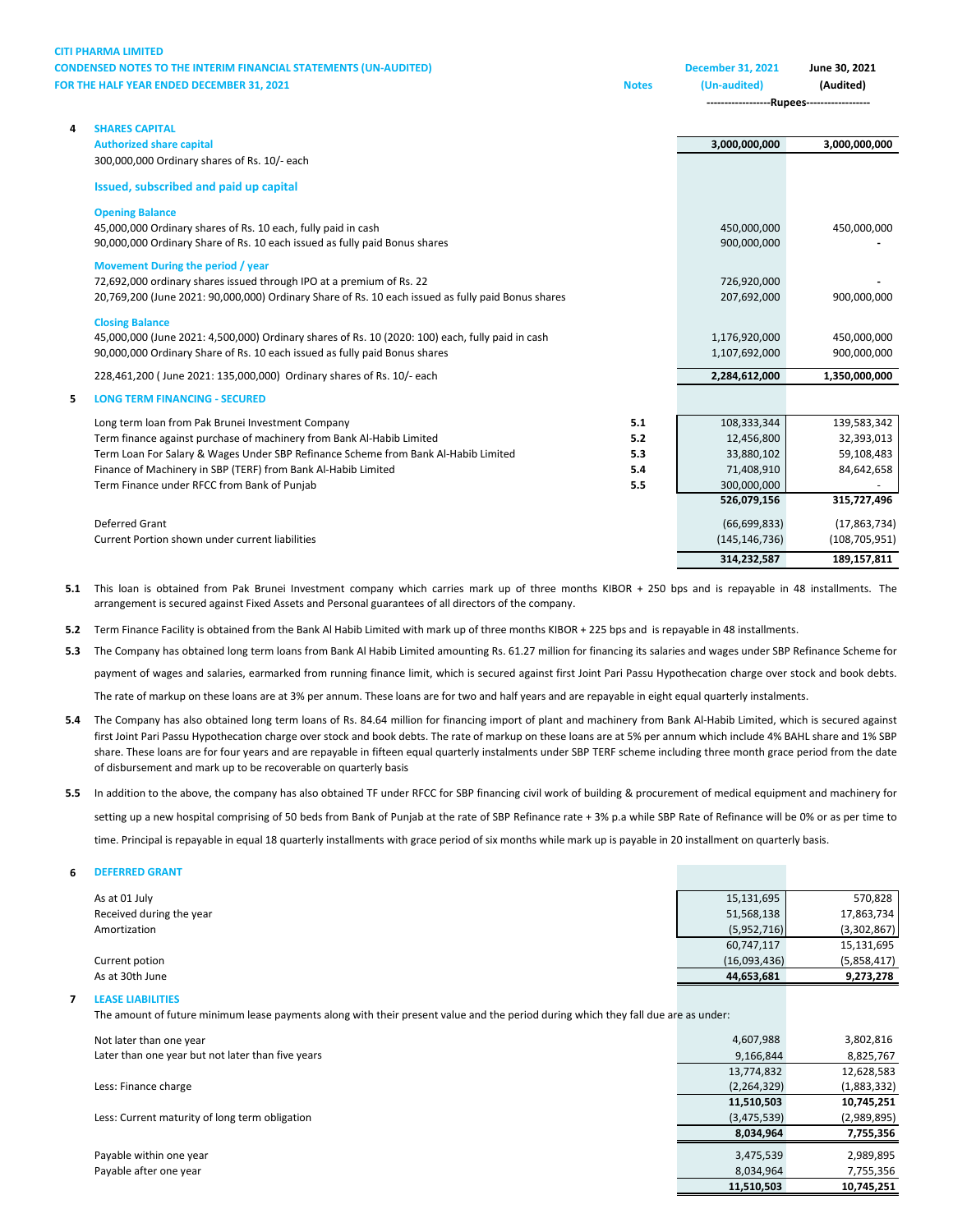**CITI PHARMA LIMITED CONDENSED NOTES TO THE INTERIM FINANCIAL STATEMENTS (U FOR THE HALF YEAR ENDED DECEMBER 31, 2021** 

| <b>JN-AUDITED)</b> |              | December 31, 2021 | June 30. 2021 |
|--------------------|--------------|-------------------|---------------|
|                    | <b>Notes</b> | (Un-audited)      | (Audited)     |

**------------------Rupees------------------**

| 4 | <b>SHARES CAPITAL</b>                                                                              |     |                 |                 |
|---|----------------------------------------------------------------------------------------------------|-----|-----------------|-----------------|
|   | <b>Authorized share capital</b>                                                                    |     | 3,000,000,000   | 3,000,000,000   |
|   | 300,000,000 Ordinary shares of Rs. 10/- each                                                       |     |                 |                 |
|   | Issued, subscribed and paid up capital                                                             |     |                 |                 |
|   | <b>Opening Balance</b>                                                                             |     |                 |                 |
|   | 45,000,000 Ordinary shares of Rs. 10 each, fully paid in cash                                      |     | 450,000,000     | 450,000,000     |
|   | 90,000,000 Ordinary Share of Rs. 10 each issued as fully paid Bonus shares                         |     | 900,000,000     |                 |
|   | Movement During the period / year                                                                  |     |                 |                 |
|   | 72,692,000 ordinary shares issued through IPO at a premium of Rs. 22                               |     | 726,920,000     |                 |
|   | 20,769,200 (June 2021: 90,000,000) Ordinary Share of Rs. 10 each issued as fully paid Bonus shares |     | 207,692,000     | 900,000,000     |
|   | <b>Closing Balance</b>                                                                             |     |                 |                 |
|   | 45,000,000 (June 2021: 4,500,000) Ordinary shares of Rs. 10 (2020: 100) each, fully paid in cash   |     | 1,176,920,000   | 450,000,000     |
|   | 90,000,000 Ordinary Share of Rs. 10 each issued as fully paid Bonus shares                         |     | 1,107,692,000   | 900,000,000     |
|   | 228,461,200 (June 2021: 135,000,000) Ordinary shares of Rs. 10/- each                              |     | 2,284,612,000   | 1,350,000,000   |
| 5 | <b>LONG TERM FINANCING - SECURED</b>                                                               |     |                 |                 |
|   | Long term loan from Pak Brunei Investment Company                                                  | 5.1 | 108,333,344     | 139,583,342     |
|   | Term finance against purchase of machinery from Bank Al-Habib Limited                              | 5.2 | 12,456,800      | 32,393,013      |
|   | Term Loan For Salary & Wages Under SBP Refinance Scheme from Bank Al-Habib Limited                 | 5.3 | 33,880,102      | 59,108,483      |
|   | Finance of Machinery in SBP (TERF) from Bank Al-Habib Limited                                      | 5.4 | 71,408,910      | 84,642,658      |
|   | Term Finance under RFCC from Bank of Punjab                                                        | 5.5 | 300,000,000     |                 |
|   |                                                                                                    |     | 526,079,156     | 315,727,496     |
|   | <b>Deferred Grant</b>                                                                              |     | (66, 699, 833)  | (17, 863, 734)  |
|   | Current Portion shown under current liabilities                                                    |     | (145, 146, 736) | (108, 705, 951) |
|   |                                                                                                    |     | 314,232,587     | 189,157,811     |

**5.1** This loan is obtained from Pak Brunei Investment company which carries mark up of three months KIBOR + 250 bps and is repayable in 48 installments. The arrangement is secured against Fixed Assets and Personal guarantees of all directors of the company.

**5.2** Term Finance Facility is obtained from the Bank Al Habib Limited with mark up of three months KIBOR + 225 bps and is repayable in 48 installments.

**5.3** The Company has obtained long term loans from Bank Al Habib Limited amounting Rs. 61.27 million for financing its salaries and wages under SBP Refinance Scheme for payment of wages and salaries, earmarked from running finance limit, which is secured against first Joint Pari Passu Hypothecation charge over stock and book debts. The rate of markup on these loans are at 3% per annum. These loans are for two and half years and are repayable in eight equal quarterly instalments.

- **5.4** The Company has also obtained long term loans of Rs. 84.64 million for financing import of plant and machinery from Bank Al-Habib Limited, which is secured against first Joint Pari Passu Hypothecation charge over stock and book debts. The rate of markup on these loans are at 5% per annum which include 4% BAHL share and 1% SBP share. These loans are for four years and are repayable in fifteen equal quarterly instalments under SBP TERF scheme including three month grace period from the date of disbursement and mark up to be recoverable on quarterly basis
- **5.5** In addition to the above, the company has also obtained TF under RFCC for SBP financing civil work of building & procurement of medical equipment and machinery for setting up a new hospital comprising of 50 beds from Bank of Punjab at the rate of SBP Refinance rate + 3% p.a while SBP Rate of Refinance will be 0% or as per time to time. Principal is repayable in equal 18 quarterly installments with grace period of six months while mark up is payable in 20 installment on quarterly basis.

#### **6 DEFERRED GRANT**

| As at 01 July            | 15,131,695   | 570,828     |
|--------------------------|--------------|-------------|
| Received during the year | 51,568,138   | 17,863,734  |
| Amortization             | (5,952,716)  | (3,302,867) |
|                          | 60,747,117   | 15,131,695  |
| Current potion           | (16,093,436) | (5,858,417) |
| As at 30th June          | 44,653,681   | 9,273,278   |
|                          |              |             |

### **7 LEASE LIABILITIES**

The amount of future minimum lease payments along with their present value and the period during which they fall due are as under:

| Not later than one year                           | 4,607,988     | 3,802,816   |
|---------------------------------------------------|---------------|-------------|
| Later than one year but not later than five years | 9,166,844     | 8,825,767   |
|                                                   | 13,774,832    | 12,628,583  |
| Less: Finance charge                              | (2, 264, 329) | (1,883,332) |
|                                                   | 11,510,503    | 10,745,251  |
| Less: Current maturity of long term obligation    | (3,475,539)   | (2,989,895) |
|                                                   | 8,034,964     | 7,755,356   |
| Payable within one year                           | 3,475,539     | 2,989,895   |
| Payable after one year                            | 8,034,964     | 7,755,356   |
|                                                   | 11,510,503    | 10,745,251  |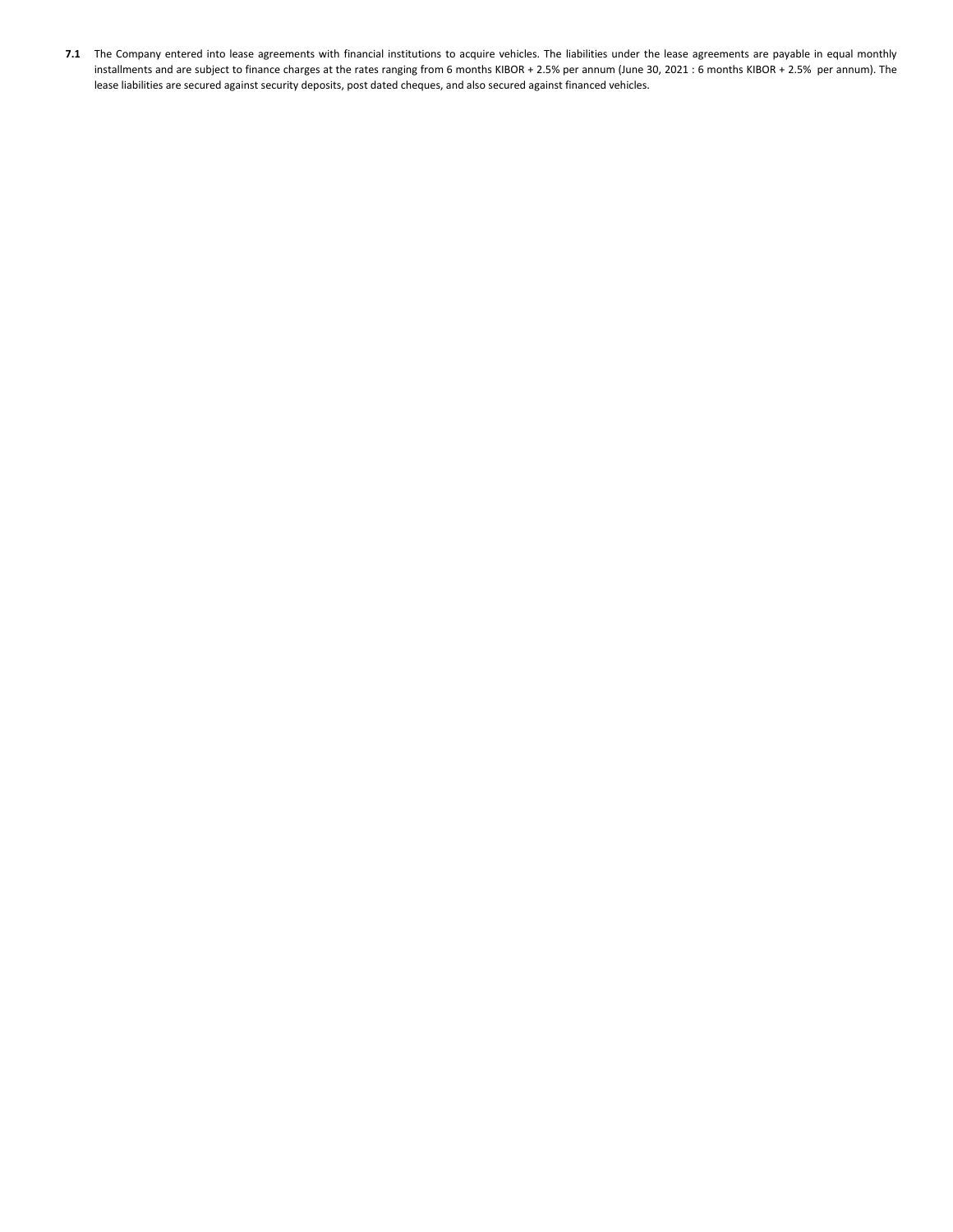**7.1** The Company entered into lease agreements with financial institutions to acquire vehicles. The liabilities under the lease agreements are payable in equal monthly installments and are subject to finance charges at the rates ranging from 6 months KIBOR + 2.5% per annum (June 30, 2021 : 6 months KIBOR + 2.5% per annum). The lease liabilities are secured against security deposits, post dated cheques, and also secured against financed vehicles.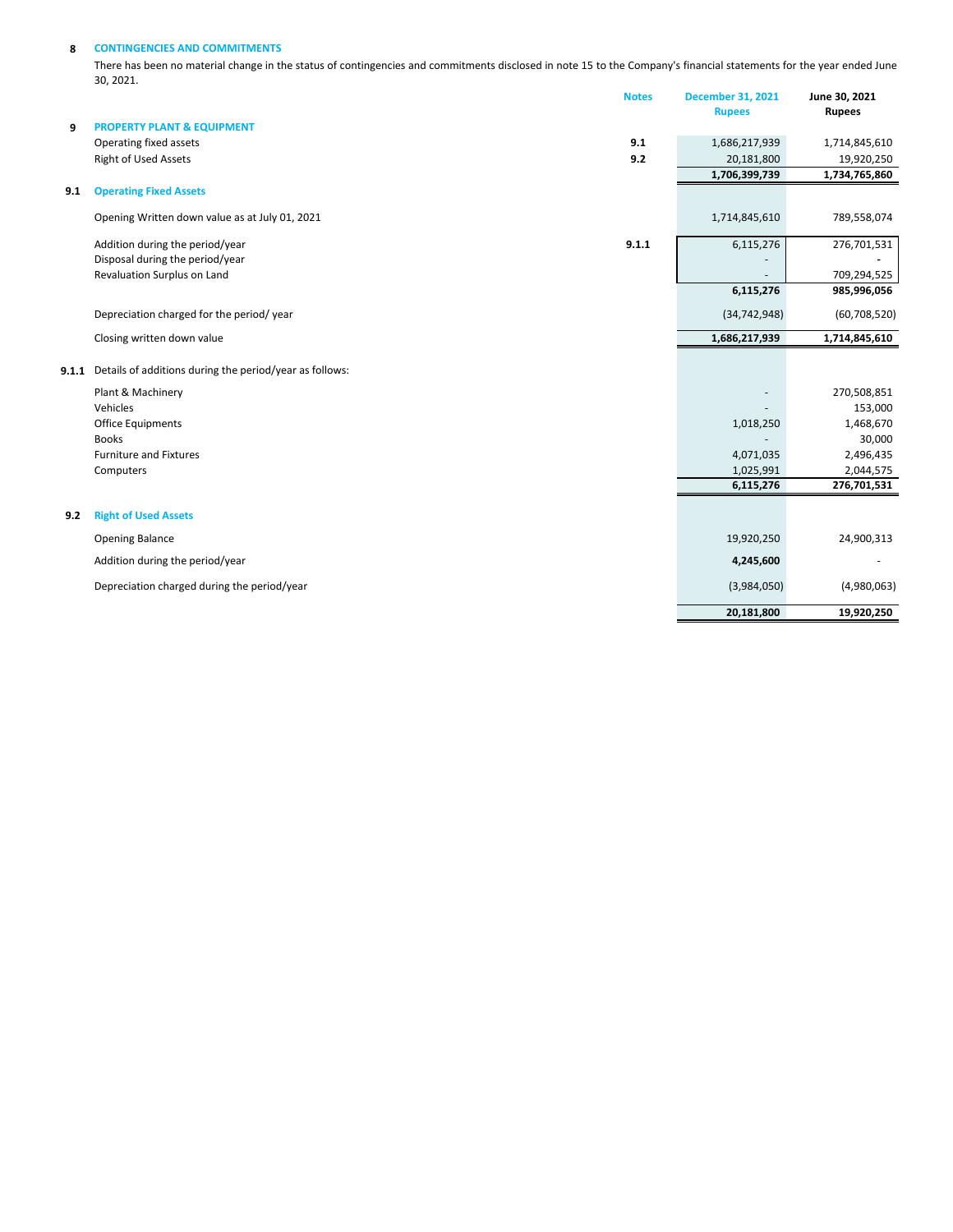#### **8 CONTINGENCIES AND COMMITMENTS**

There has been no material change in the status of contingencies and commitments disclosed in note 15 to the Company's financial statements for the year ended June 30, 2021.

|       |                                                         | <b>Notes</b> | <b>December 31, 2021</b> | June 30, 2021               |
|-------|---------------------------------------------------------|--------------|--------------------------|-----------------------------|
|       |                                                         |              | <b>Rupees</b>            | <b>Rupees</b>               |
| 9     | <b>PROPERTY PLANT &amp; EQUIPMENT</b>                   | 9.1          | 1,686,217,939            |                             |
|       | Operating fixed assets<br><b>Right of Used Assets</b>   | 9.2          | 20,181,800               | 1,714,845,610               |
|       |                                                         |              | 1,706,399,739            | 19,920,250<br>1,734,765,860 |
| 9.1   | <b>Operating Fixed Assets</b>                           |              |                          |                             |
|       | Opening Written down value as at July 01, 2021          |              | 1,714,845,610            | 789,558,074                 |
|       | Addition during the period/year                         | 9.1.1        | 6,115,276                | 276,701,531                 |
|       | Disposal during the period/year                         |              |                          |                             |
|       | Revaluation Surplus on Land                             |              |                          | 709,294,525                 |
|       |                                                         |              | 6,115,276                | 985,996,056                 |
|       | Depreciation charged for the period/year                |              | (34, 742, 948)           | (60, 708, 520)              |
|       | Closing written down value                              |              | 1,686,217,939            | 1,714,845,610               |
| 9.1.1 | Details of additions during the period/year as follows: |              |                          |                             |
|       | Plant & Machinery                                       |              |                          | 270,508,851                 |
|       | Vehicles                                                |              |                          | 153,000                     |
|       | <b>Office Equipments</b>                                |              | 1,018,250                | 1,468,670                   |
|       | <b>Books</b>                                            |              |                          | 30,000                      |
|       | <b>Furniture and Fixtures</b>                           |              | 4,071,035                | 2,496,435                   |
|       | Computers                                               |              | 1,025,991<br>6,115,276   | 2,044,575<br>276,701,531    |
|       |                                                         |              |                          |                             |
| 9.2   | <b>Right of Used Assets</b>                             |              |                          |                             |
|       | Opening Balance                                         |              | 19,920,250               | 24,900,313                  |
|       | Addition during the period/year                         |              | 4,245,600                |                             |
|       | Depreciation charged during the period/year             |              | (3,984,050)              | (4,980,063)                 |
|       |                                                         |              | 20,181,800               | 19,920,250                  |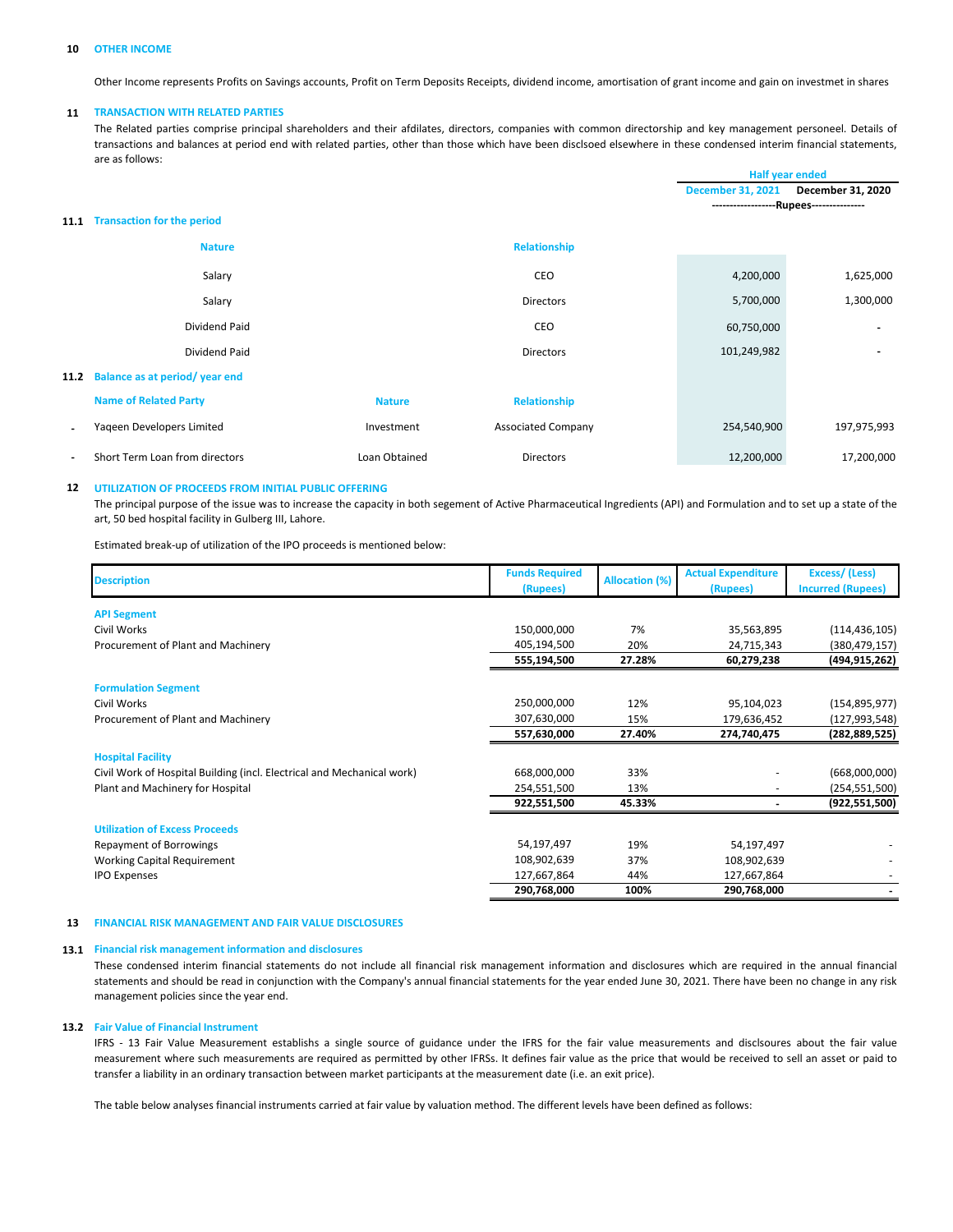#### **10 OTHER INCOME**

Other Income represents Profits on Savings accounts, Profit on Term Deposits Receipts, dividend income, amortisation of grant income and gain on investmet in shares

#### **11 TRANSACTION WITH RELATED PARTIES**

The Related parties comprise principal shareholders and their afdilates, directors, companies with common directorship and key management personeel. Details of transactions and balances at period end with related parties, other than those which have been disclsoed elsewhere in these condensed interim financial statements, are as follows:

|      |                                   |               |                           | <b>Half year ended</b>                  |                   |
|------|-----------------------------------|---------------|---------------------------|-----------------------------------------|-------------------|
|      |                                   |               |                           | <b>December 31, 2021</b>                | December 31, 2020 |
|      |                                   |               |                           | ------------------Rupees--------------- |                   |
| 11.1 | <b>Transaction for the period</b> |               |                           |                                         |                   |
|      | <b>Nature</b>                     |               | <b>Relationship</b>       |                                         |                   |
|      | Salary                            |               | CEO                       | 4,200,000                               | 1,625,000         |
|      | Salary                            |               | <b>Directors</b>          | 5,700,000                               | 1,300,000         |
|      | <b>Dividend Paid</b>              |               | CEO                       | 60,750,000                              |                   |
|      | Dividend Paid                     |               | <b>Directors</b>          | 101,249,982                             |                   |
| 11.2 | Balance as at period/year end     |               |                           |                                         |                   |
|      | <b>Name of Related Party</b>      | <b>Nature</b> | <b>Relationship</b>       |                                         |                   |
|      | Yageen Developers Limited         | Investment    | <b>Associated Company</b> | 254,540,900                             | 197,975,993       |
|      | Short Term Loan from directors    | Loan Obtained | <b>Directors</b>          | 12,200,000                              | 17,200,000        |

#### **12 UTILIZATION OF PROCEEDS FROM INITIAL PUBLIC OFFERING**

The principal purpose of the issue was to increase the capacity in both segement of Active Pharmaceutical Ingredients (API) and Formulation and to set up a state of the art, 50 bed hospital facility in Gulberg III, Lahore.

Estimated break-up of utilization of the IPO proceeds is mentioned below:

| <b>Description</b>                                                     | <b>Funds Required</b><br>(Rupees) | <b>Allocation (%)</b> | <b>Actual Expenditure</b><br>(Rupees) | Excess/(Less)<br><b>Incurred (Rupees)</b> |
|------------------------------------------------------------------------|-----------------------------------|-----------------------|---------------------------------------|-------------------------------------------|
| <b>API Segment</b>                                                     |                                   |                       |                                       |                                           |
| Civil Works                                                            | 150,000,000                       | 7%                    | 35,563,895                            | (114, 436, 105)                           |
| Procurement of Plant and Machinery                                     | 405,194,500                       | 20%                   | 24,715,343                            | (380, 479, 157)                           |
|                                                                        | 555,194,500                       | 27.28%                | 60,279,238                            | (494,915,262)                             |
| <b>Formulation Segment</b>                                             |                                   |                       |                                       |                                           |
| Civil Works                                                            | 250,000,000                       | 12%                   | 95,104,023                            | (154, 895, 977)                           |
| Procurement of Plant and Machinery                                     | 307,630,000                       | 15%                   | 179,636,452                           | (127,993,548)                             |
|                                                                        | 557,630,000                       | 27.40%                | 274,740,475                           | (282, 889, 525)                           |
| <b>Hospital Facility</b>                                               |                                   |                       |                                       |                                           |
| Civil Work of Hospital Building (incl. Electrical and Mechanical work) | 668,000,000                       | 33%                   |                                       | (668,000,000)                             |
| Plant and Machinery for Hospital                                       | 254,551,500                       | 13%                   |                                       | (254, 551, 500)                           |
|                                                                        | 922,551,500                       | 45.33%                |                                       | (922, 551, 500)                           |
| <b>Utilization of Excess Proceeds</b>                                  |                                   |                       |                                       |                                           |
| <b>Repayment of Borrowings</b>                                         | 54,197,497                        | 19%                   | 54,197,497                            |                                           |
| <b>Working Capital Requirement</b>                                     | 108,902,639                       | 37%                   | 108,902,639                           |                                           |
| <b>IPO Expenses</b>                                                    | 127,667,864                       | 44%                   | 127,667,864                           |                                           |
|                                                                        | 290,768,000                       | 100%                  | 290,768,000                           |                                           |

#### **13 FINANCIAL RISK MANAGEMENT AND FAIR VALUE DISCLOSURES**

#### **13.1 Financial risk management information and disclosures**

These condensed interim financial statements do not include all financial risk management information and disclosures which are required in the annual financial statements and should be read in conjunction with the Company's annual financial statements for the year ended June 30, 2021. There have been no change in any risk management policies since the year end.

#### **13.2 Fair Value of Financial Instrument**

IFRS - 13 Fair Value Measurement establishs a single source of guidance under the IFRS for the fair value measurements and disclsoures about the fair value measurement where such measurements are required as permitted by other IFRSs. It defines fair value as the price that would be received to sell an asset or paid to transfer a liability in an ordinary transaction between market participants at the measurement date (i.e. an exit price).

The table below analyses financial instruments carried at fair value by valuation method. The different levels have been defined as follows: